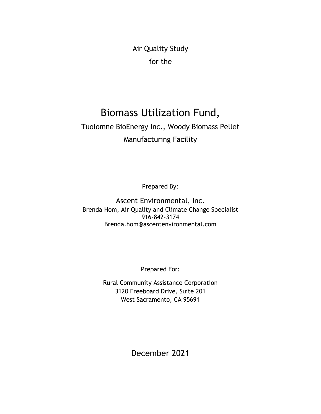Air Quality Study for the

## Biomass Utilization Fund,

#### Tuolomne BioEnergy Inc., Woody Biomass Pellet Manufacturing Facility

Prepared By:

Ascent Environmental, Inc. Brenda Hom, Air Quality and Climate Change Specialist 916-842-3174 Brenda.hom@ascentenvironmental.com

Prepared For:

Rural Community Assistance Corporation 3120 Freeboard Drive, Suite 201 West Sacramento, CA 95691

December 2021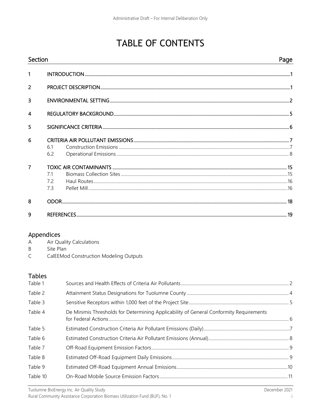## **TABLE OF CONTENTS**

| Section        |     | Page |
|----------------|-----|------|
| $\mathbf{1}$   |     |      |
| $\overline{2}$ |     |      |
| 3              |     |      |
| $\overline{4}$ |     |      |
| 5              |     |      |
| 6              |     |      |
|                | 61  |      |
|                | 6.2 |      |
| $\overline{7}$ |     |      |
|                | 71  |      |
|                | 72  |      |
|                | 73  |      |
| 8              |     |      |
| 9              |     |      |

#### Appendices

| Air Quality Calculations<br>Α |
|-------------------------------|
|-------------------------------|

- $\sf B$ Site Plan
- $\mathsf C$ CalEEMod Construction Modeling Outputs

#### **Tables**

| Table 1  |                                                                                        |  |
|----------|----------------------------------------------------------------------------------------|--|
| Table 2  |                                                                                        |  |
| Table 3  |                                                                                        |  |
| Table 4  | De Minimis Thresholds for Determining Applicability of General Conformity Requirements |  |
| Table 5  |                                                                                        |  |
| Table 6  |                                                                                        |  |
| Table 7  |                                                                                        |  |
| Table 8  |                                                                                        |  |
| Table 9  |                                                                                        |  |
| Table 10 |                                                                                        |  |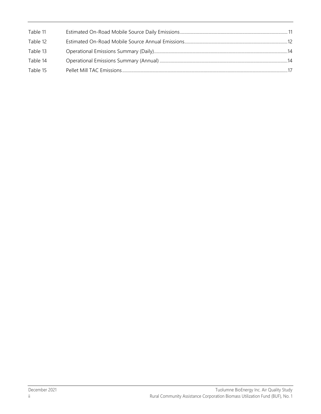| Table 11 |  |
|----------|--|
| Table 12 |  |
| Table 13 |  |
| Table 14 |  |
| Table 15 |  |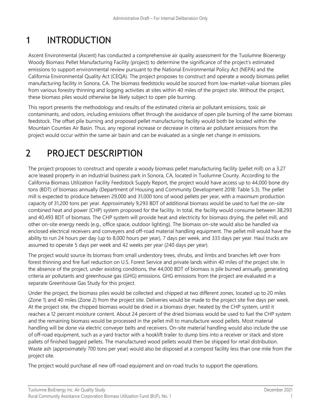## 1 INTRODUCTION

Ascent Environmental (Ascent) has conducted a comprehensive air quality assessment for the Tuolumne Bioenergy Woody Biomass Pellet Manufacturing Facility (project) to determine the significance of the project's estimated emissions to support environmental review pursuant to the National Environmental Policy Act (NEPA) and the California Environmental Quality Act (CEQA). The project proposes to construct and operate a woody biomass pellet manufacturing facility in Sonora, CA. The biomass feedstocks would be sourced from low-market-value biomass piles from various forestry thinning and logging activities at sites within 40 miles of the project site. Without the project, these biomass piles would otherwise be likely subject to open pile burning.

This report presents the methodology and results of the estimated criteria air pollutant emissions, toxic air contaminants, and odors, including emissions offset through the avoidance of open pile burning of the same biomass feedstock. The offset pile burning and proposed pellet manufacturing facility would both be located within the Mountain Counties Air Basin. Thus, any regional increase or decrease in criteria air pollutant emissions from the project would occur within the same air basin and can be evaluated as a single net change in emissions.

## 2 PROJECT DESCRIPTION

The project proposes to construct and operate a woody biomass pellet manufacturing facility (pellet mill) on a 3.27 acre leased property in an industrial business park in Sonora, CA, located in Tuolumne County. According to the California Biomass Utilization Facility Feedstock Supply Report, the project would have access up to 44,000 bone dry tons (BDT) of biomass annually (Department of Housing and Community Development 2018: Table 5.3). The pellet mill is expected to produce between 29,000 and 31,000 tons of wood pellets per year, with a maximum production capacity of 31,200 tons per year. Approximately 9,293 BDT of additional biomass would be used to fuel the on-site combined heat and power (CHP) system proposed for the facility. In total, the facility would consume between 38,293 and 40,493 BDT of biomass. The CHP system will provide heat and electricity for biomass drying, the pellet mill, and other on-site energy needs (e.g., office space, outdoor lighting). The biomass on-site would also be handled via enclosed electrical receivers and conveyers and off-road material handling equipment. The pellet mill would have the ability to run 24 hours per day (up to 8,000 hours per year), 7 days per week, and 333 days per year. Haul trucks are assumed to operate 5 days per week and 42 weeks per year (240 days per year).

The project would source its biomass from small understory trees, shrubs, and limbs and branches left over from forest thinning and fire fuel reduction on U.S. Forest Service and private lands within 40 miles of the project site. In the absence of the project, under existing conditions, the 44,000 BDT of biomass is pile burned annually, generating criteria air pollutants and greenhouse gas (GHG) emissions. GHG emissions from the project are evaluated in a separate Greenhouse Gas Study for this project.

Under the project, the biomass piles would be collected and chipped at two different zones, located up to 20 miles (Zone 1) and 40 miles (Zone 2) from the project site. Deliveries would be made to the project site five days per week. At the project site, the chipped biomass would be dried in a biomass dryer, heated by the CHP system, until it reaches a 12 percent moisture content. About 24 percent of the dried biomass would be used to fuel the CHP system and the remaining biomass would be processed in the pellet mill to manufacture wood pellets. Most material handling will be done via electric conveyer belts and receivers. On-site material handling would also include the use of off-road equipment, such as a yard tractor with a hooklift trailer to dump bins into a receiver or stack and store pallets of finished bagged pellets. The manufactured wood pellets would then be shipped for retail distribution. Waste ash (approximately 700 tons per year) would also be disposed at a compost facility less than one mile from the project site.

The project would purchase all new off-road equipment and on-road trucks to support the operations.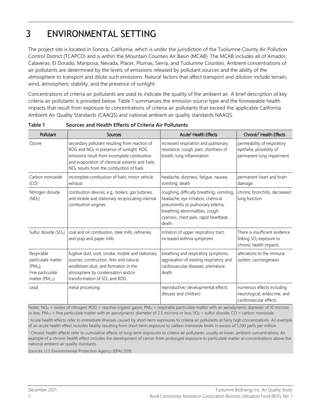### 3 ENVIRONMENTAL SETTING

The project site is located in Sonora, California, which is under the jurisdiction of the Tuolumne County Air Pollution Control District (TCAPCD) and is within the Mountain Counties Air Basin (MCAB). The MCAB includes all of Amador, Calaveras, El Dorado, Mariposa, Nevada, Placer, Plumas, Sierra, and Tuolumne Counties. Ambient concentrations of air pollutants are determined by the levels of emissions released by pollutant sources and the ability of the atmosphere to transport and dilute such emissions. Natural factors that affect transport and dilution include terrain, wind, atmospheric stability, and the presence of sunlight.

Concentrations of criteria air pollutants are used to indicate the quality of the ambient air. A brief description of key criteria air pollutants is provided below. Table 1 summarizes the emission source type and the foreseeable health impacts that result from exposure to concentrations of criteria air pollutants that exceed the applicable California Ambient Air Quality Standards (CAAQS) and national ambient air quality standards NAAQS.

| Pollutant                                                                                          | <b>Sources</b>                                                                                                                                                                                                                                         | Acute <sup>1</sup> Health Effects                                                                                                                                                                        | Chronic <sup>2</sup> Health Effects                                                              |
|----------------------------------------------------------------------------------------------------|--------------------------------------------------------------------------------------------------------------------------------------------------------------------------------------------------------------------------------------------------------|----------------------------------------------------------------------------------------------------------------------------------------------------------------------------------------------------------|--------------------------------------------------------------------------------------------------|
| Ozone                                                                                              | secondary pollutant resulting from reaction of<br>ROG and NO <sub>x</sub> in presence of sunlight. ROG<br>emissions result from incomplete combustion<br>and evaporation of chemical solvents and fuels;<br>$NOx$ results from the combustion of fuels | increased respiration and pulmonary<br>resistance; cough, pain, shortness of<br>breath, lung inflammation                                                                                                | permeability of respiratory<br>epithelia, possibility of<br>permanent lung impairment            |
| Carbon monoxide<br>(CO)                                                                            | incomplete combustion of fuels; motor vehicle<br>exhaust                                                                                                                                                                                               | headache, dizziness, fatigue, nausea,<br>vomiting, death                                                                                                                                                 | permanent heart and brain<br>damage                                                              |
| Nitrogen dioxide<br>(NO <sub>2</sub> )                                                             | combustion devices; e.g., boilers, gas turbines,<br>and mobile and stationary reciprocating internal<br>combustion engines                                                                                                                             | coughing, difficulty breathing, vomiting,<br>headache, eye irritation, chemical<br>pneumonitis or pulmonary edema;<br>breathing abnormalities, cough,<br>cyanosis, chest pain, rapid heartbeat,<br>death | chronic bronchitis, decreased<br>lung function                                                   |
| Sulfur dioxide (SO <sub>2</sub> )                                                                  | coal and oil combustion, steel mills, refineries,<br>and pulp and paper mills                                                                                                                                                                          | Irritation of upper respiratory tract,<br>increased asthma symptoms                                                                                                                                      | There is insufficient evidence<br>linking SO <sub>2</sub> exposure to<br>chronic health impacts. |
| Respirable<br>particulate matter<br>$(PM_{10})$<br>Fine particulate<br>matter (PM <sub>2.5</sub> ) | fugitive dust, soot, smoke, mobile and stationary<br>sources, construction, fires and natural<br>windblown dust, and formation in the<br>atmosphere by condensation and/or<br>transformation of SO <sub>2</sub> and ROG                                | breathing and respiratory symptoms,<br>aggravation of existing respiratory and<br>cardiovascular diseases, premature<br>death                                                                            | alterations to the immune<br>system, carcinogenesis                                              |
| Lead                                                                                               | metal processing                                                                                                                                                                                                                                       | reproductive/ developmental effects<br>(fetuses and children)                                                                                                                                            | numerous effects including<br>neurological, endocrine, and<br>cardiovascular effects             |

<span id="page-5-0"></span>**Table 1 Sources and Health Effects of Criteria Air Pollutants**

Notes:  $NO<sub>X</sub> =$  oxides of nitrogen; ROG = reactive organic gases;  $PM<sub>10</sub> =$  respirable particulate matter with an aerodynamic diameter of 10 microns or less; PM<sub>2.5</sub> = fine particulate matter with an aerodynamic diameter of 2.5 microns or less; SO<sub>2</sub> = sulfur dioxide; CO = carbon monoxide

<sup>1</sup> Acute health effects refer to immediate illnesses caused by short-term exposures to criteria air pollutants at fairly high concentrations. An example of an acute health effect includes fatality resulting from short-term exposure to carbon monoxide levels in excess of 1,200 parts per million.

<sup>2</sup> Chronic health effects refer to cumulative effects of long-term exposures to criteria air pollutants, usually at lower, ambient concentrations. An example of a chronic health effect includes the development of cancer from prolonged exposure to particulate matter at concentrations above the national ambient air quality standards.

Sources: U.S Environmental Protection Agency (EPA) 2018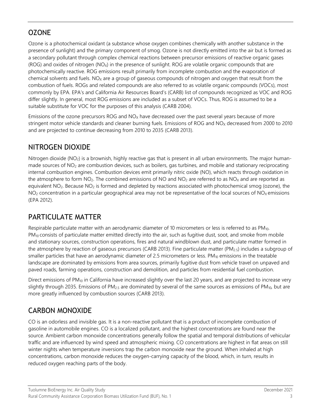#### **OZONE**

Ozone is a photochemical oxidant (a substance whose oxygen combines chemically with another substance in the presence of sunlight) and the primary component of smog. Ozone is not directly emitted into the air but is formed as a secondary pollutant through complex chemical reactions between precursor emissions of reactive organic gases  $(ROG)$  and oxides of nitrogen  $(NO<sub>X</sub>)$  in the presence of sunlight. ROG are volatile organic compounds that are photochemically reactive. ROG emissions result primarily from incomplete combustion and the evaporation of chemical solvents and fuels.  $NO<sub>X</sub>$  are a group of gaseous compounds of nitrogen and oxygen that result from the combustion of fuels. ROGs and related compounds are also referred to as volatile organic compounds (VOCs), most commonly by EPA. EPA's and California Air Resources Board's (CARB) list of compounds recognized as VOC and ROG differ slightly. In general, most ROG emissions are included as a subset of VOCs. Thus, ROG is assumed to be a suitable substitute for VOC for the purposes of this analysis (CARB 2004).

Emissions of the ozone precursors ROG and  $NO<sub>x</sub>$  have decreased over the past several years because of more stringent motor vehicle standards and cleaner burning fuels. Emissions of ROG and NO<sub>x</sub> decreased from 2000 to 2010 and are projected to continue decreasing from 2010 to 2035 (CARB 2013).

#### NITROGEN DIOXIDE

Nitrogen dioxide (NO<sub>2</sub>) is a brownish, highly reactive gas that is present in all urban environments. The major humanmade sources of  $NO<sub>2</sub>$  are combustion devices, such as boilers, gas turbines, and mobile and stationary reciprocating internal combustion engines. Combustion devices emit primarily nitric oxide (NO), which reacts through oxidation in the atmosphere to form  $NO<sub>2</sub>$ . The combined emissions of NO and  $NO<sub>2</sub>$  are referred to as  $NO<sub>X</sub>$  and are reported as equivalent  $NO<sub>2</sub>$ . Because  $NO<sub>2</sub>$  is formed and depleted by reactions associated with photochemical smog (ozone), the  $NO<sub>2</sub>$  concentration in a particular geographical area may not be representative of the local sources of  $NO<sub>X</sub>$  emissions (EPA 2012).

#### PARTICULATE MATTER

Respirable particulate matter with an aerodynamic diameter of 10 micrometers or less is referred to as PM<sub>10</sub>. PM<sub>10</sub> consists of particulate matter emitted directly into the air, such as fugitive dust, soot, and smoke from mobile and stationary sources, construction operations, fires and natural windblown dust, and particulate matter formed in the atmosphere by reaction of gaseous precursors (CARB 2013). Fine particulate matter (PM<sub>2.5</sub>) includes a subgroup of smaller particles that have an aerodynamic diameter of 2.5 micrometers or less.  $PM_{10}$  emissions in the treatable landscape are dominated by emissions from area sources, primarily fugitive dust from vehicle travel on unpaved and paved roads, farming operations, construction and demolition, and particles from residential fuel combustion.

Direct emissions of PM<sub>10</sub> in California have increased slightly over the last 20 years, and are projected to increase very slightly through 2035. Emissions of PM<sub>2.5</sub> are dominated by several of the same sources as emissions of PM<sub>10</sub>, but are more greatly influenced by combustion sources (CARB 2013).

#### CARBON MONOXIDE

CO is an odorless and invisible gas. It is a non-reactive pollutant that is a product of incomplete combustion of gasoline in automobile engines. CO is a localized pollutant, and the highest concentrations are found near the source. Ambient carbon monoxide concentrations generally follow the spatial and temporal distributions of vehicular traffic and are influenced by wind speed and atmospheric mixing. CO concentrations are highest in flat areas on still winter nights when temperature inversions trap the carbon monoxide near the ground. When inhaled at high concentrations, carbon monoxide reduces the oxygen-carrying capacity of the blood, which, in turn, results in reduced oxygen reaching parts of the body.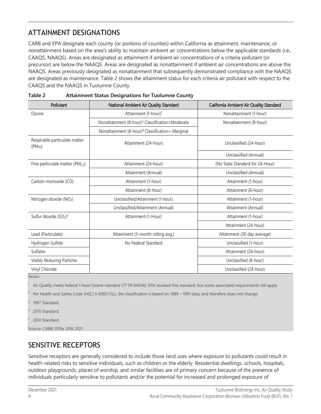#### ATTAINMENT DESIGNATIONS

CARB and EPA designate each county (or portions of counties) within California as attainment, maintenance, or nonattainment based on the area's ability to maintain ambient air concentrations below the applicable standards (i.e., CAAQS, NAAQS). Areas are designated as attainment if ambient air concentrations of a criteria pollutant (or precursor) are below the NAAQS. Areas are designated as nonattainment if ambient air concentrations are above the NAAQS. Areas previously designated as nonattainment that subsequently demonstrated compliance with the NAAQS are designated as maintenance. Table 2 shows the attainment status for each criteria air pollutant with respect to the CAAQS and the NAAQS in Tuolumne County.

| Pollutant                                    | National Ambient Air Quality Standard                        | California Ambient Air Quality Standard |
|----------------------------------------------|--------------------------------------------------------------|-----------------------------------------|
| Ozone                                        | Attainment (1-hour) <sup>1</sup>                             | Nonattainment (1-hour)                  |
|                                              | Nonattainment (8-hour) <sup>3</sup> Classification=Moderate  | Nonattainment (8-hour)                  |
|                                              | Nonattainment (8-hour) <sup>4</sup> Classification= Marginal |                                         |
| Respirable particulate matter<br>$(PM_{10})$ | Attainment (24-hour)                                         | Unclassified (24-hour)                  |
|                                              |                                                              | Unclassified (Annual)                   |
| Fine particulate matter (PM <sub>2.5</sub> ) | Attainment (24-hour)                                         | (No State Standard for 24-Hour)         |
|                                              | Attainment (Annual)                                          | Unclassified (Annual)                   |
| Carbon monoxide (CO)                         | Attainment (1-hour)                                          | Attainment (1-hour)                     |
|                                              | Attainment (8-hour)                                          | Attainment (8-hour)                     |
| Nitrogen dioxide (NO2)                       | Unclassified/Attainment (1-hour)                             | Attainment (1-hour)                     |
|                                              | Unclassified/Attainment (Annual)                             | Attainment (Annual)                     |
| Sulfur dioxide $(SO2)5$                      | Attainment (1-Hour)                                          | Attainment (1-hour)                     |
|                                              |                                                              | Attainment (24-hour)                    |
| Lead (Particulate)                           | Attainment (3-month rolling avg.)                            | Attainment (30 day average)             |
| Hydrogen Sulfide                             | No Federal Standard                                          | Unclassified (1-hour)                   |
| Sulfates                                     |                                                              | Attainment (24-hour)                    |
| Visibly Reducing Particles                   |                                                              | Unclassified (8-hour)                   |
| Vinyl Chloride                               |                                                              | Unclassified (24-hour)                  |

<span id="page-7-0"></span>

| Table 2 | <b>Attainment Status Designations for Tuolumne County</b> |
|---------|-----------------------------------------------------------|
|         |                                                           |

Notes:

<sup>1</sup> Air Quality meets federal 1-hour Ozone standard (77 FR 64036). EPA revoked this standard, but some associated requirements still apply.

<sup>2</sup> Per Health and Safety Code (HSC) § 40921.5(c), the classification is based on 1989 – 1991 data, and therefore does not change.

1997 Standard.

2015 Standard.

2010 Standard.

Source: CARB 2019a, EPA 2021

#### SENSITIVE RECEPTORS

Sensitive receptors are generally considered to include those land uses where exposure to pollutants could result in health-related risks to sensitive individuals, such as children or the elderly. Residential dwellings, schools, hospitals, outdoor playgrounds, places of worship, and similar facilities are of primary concern because of the presence of individuals particularly sensitive to pollutants and/or the potential for increased and prolonged exposure of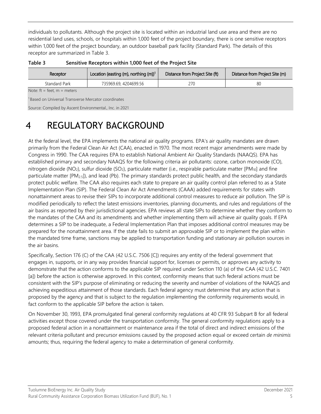individuals to pollutants. Although the project site is located within an industrial land use area and there are no residential land uses, schools, or hospitals within 1,000 feet of the project boundary, there is one sensitive receptors within 1,000 feet of the project boundary, an outdoor baseball park facility (Standard Park). The details of this receptor are summarized in Table 3.

| Location (easting (m), northing $(m)$ <sup>1</sup><br>Distance from Project Site (ft)<br>Distance from Project Site (m)<br>Receptor |  |  |  |  |  |  |  |
|-------------------------------------------------------------------------------------------------------------------------------------|--|--|--|--|--|--|--|
| 270<br>Standard Park<br>735969.69, 4204699.56<br>80                                                                                 |  |  |  |  |  |  |  |
| Note: $ft = feet$ , $m = meters$                                                                                                    |  |  |  |  |  |  |  |
| <sup>1</sup> Based on Universal Transverse Mercator coordinates                                                                     |  |  |  |  |  |  |  |
| Source: Compiled by Ascent Environmental., Inc. in 2021                                                                             |  |  |  |  |  |  |  |

<span id="page-8-0"></span>**Table 3 Sensitive Receptors within 1,000 feet of the Project Site**

4 REGULATORY BACKGROUND

At the federal level, the EPA implements the national air quality programs. EPA's air quality mandates are drawn primarily from the Federal Clean Air Act (CAA), enacted in 1970. The most recent major amendments were made by Congress in 1990. The CAA requires EPA to establish National Ambient Air Quality Standards (NAAQS). EPA has established primary and secondary NAAQS for the following criteria air pollutants: ozone, carbon monoxide (CO), nitrogen dioxide (NO<sub>2</sub>), sulfur dioxide (SO<sub>2</sub>), particulate matter (i.e., respirable particulate matter [PM<sub>10</sub>] and fine particulate matter [PM2.5]), and lead (Pb). The primary standards protect public health, and the secondary standards protect public welfare. The CAA also requires each state to prepare an air quality control plan referred to as a State Implementation Plan (SIP). The Federal Clean Air Act Amendments (CAAA) added requirements for states with nonattainment areas to revise their SIPs to incorporate additional control measures to reduce air pollution. The SIP is modified periodically to reflect the latest emissions inventories, planning documents, and rules and regulations of the air basins as reported by their jurisdictional agencies. EPA reviews all state SIPs to determine whether they conform to the mandates of the CAA and its amendments and whether implementing them will achieve air quality goals. If EPA determines a SIP to be inadequate, a Federal Implementation Plan that imposes additional control measures may be prepared for the nonattainment area. If the state fails to submit an approvable SIP or to implement the plan within the mandated time frame, sanctions may be applied to transportation funding and stationary air pollution sources in the air basins.

Specifically, Section 176 (C) of the CAA (42 U.S.C. 7506 [C]) requires any entity of the federal government that engages in, supports, or in any way provides financial support for, licenses or permits, or approves any activity to demonstrate that the action conforms to the applicable SIP required under Section 110 (a) of the CAA (42 U.S.C. 7401 [a]) before the action is otherwise approved. In this context, conformity means that such federal actions must be consistent with the SIP's purpose of eliminating or reducing the severity and number of violations of the NAAQS and achieving expeditious attainment of those standards. Each federal agency must determine that any action that is proposed by the agency and that is subject to the regulation implementing the conformity requirements would, in fact conform to the applicable SIP before the action is taken.

On November 30, 1993, EPA promulgated final general conformity regulations at 40 CFR 93 Subpart B for all federal activities except those covered under the transportation conformity. The general conformity regulations apply to a proposed federal action in a nonattainment or maintenance area if the total of direct and indirect emissions of the relevant criteria pollutant and precursor emissions caused by the proposed action equal or exceed certain *de minimis* amounts; thus, requiring the federal agency to make a determination of general conformity.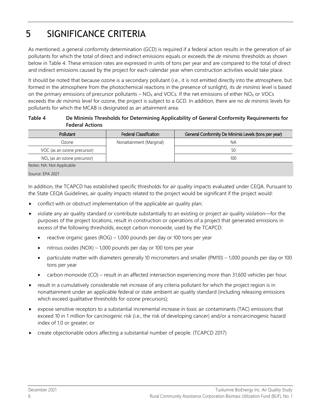## 5 SIGNIFICANCE CRITERIA

As mentioned, a general conformity determination (GCD) is required if a federal action results in the generation of air pollutants for which the total of direct and indirect emissions equals or exceeds the *de minimis* thresholds as shown below in Table 4. These emission rates are expressed in units of tons per year and are compared to the total of direct and indirect emissions caused by the project for each calendar year when construction activities would take place.

It should be noted that because ozone is a secondary pollutant (i.e., it is not emitted directly into the atmosphere, but formed in the atmosphere from the photochemical reactions in the presence of sunlight), its *de minimis* level is based on the primary emissions of precursor pollutants –  $NO<sub>X</sub>$  and VOCs. If the net emissions of either NO<sub>X</sub> or VOCs exceeds the *de minimis* level for ozone, the project is subject to a GCD. In addition, there are no *de minimis* levels for pollutants for which the MCAB is designated as an attainment area.

#### <span id="page-9-0"></span>**Table 4 De Minimis Thresholds for Determining Applicability of General Conformity Requirements for Federal Actions**

| Pollutant                     | <b>Federal Classification</b> | General Conformity De Minimis Levels (tons per year) |  |  |  |
|-------------------------------|-------------------------------|------------------------------------------------------|--|--|--|
| Ozone                         | Nonattainment (Marginal)      | <b>NA</b>                                            |  |  |  |
| VOC (as an ozone precursor)   |                               | 50                                                   |  |  |  |
| $NOx$ (as an ozone precursor) |                               | 100                                                  |  |  |  |
| Notes: NA: Not Applicable     |                               |                                                      |  |  |  |
| Source: EPA 2021              |                               |                                                      |  |  |  |

In addition, the TCAPCD has established specific thresholds for air quality impacts evaluated under CEQA. Pursuant to the State CEQA Guidelines, air quality impacts related to the project would be significant if the project would:

- conflict with or obstruct implementation of the applicable air quality plan;
- violate any air quality standard or contribute substantially to an existing or project air quality violation—for the purposes of the project locations, result in construction or operations of a project that generated emissions in excess of the following thresholds, except carbon monoxide, used by the TCAPCD:
	- reactive organic gases (ROG) 1,000 pounds per day or 100 tons per year
	- nitrous oxides (NOX) 1,000 pounds per day or 100 tons per year
	- particulate matter with diameters generally 10 micrometers and smaller (PM10) 1,000 pounds per day or 100 tons per year
	- carbon monoxide (CO) result in an affected intersection experiencing more than 31,600 vehicles per hour.
- result in a cumulatively considerable net increase of any criteria pollutant for which the project region is in nonattainment under an applicable federal or state ambient air quality standard (including releasing emissions which exceed qualitative thresholds for ozone precursors);
- expose sensitive receptors to a substantial incremental increase in toxic air contaminants (TAC) emissions that exceed 10 in 1 million for carcinogenic risk (i.e., the risk of developing cancer) and/or a noncarcinogenic hazard index of 1.0 or greater; or
- create objectionable odors affecting a substantial number of people. (TCAPCD 2017)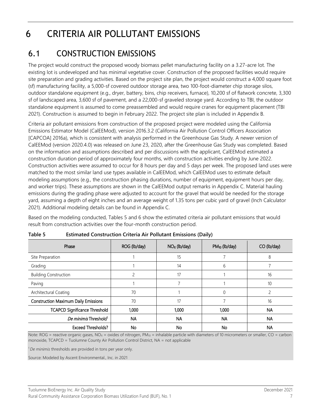## 6 CRITERIA AIR POLLUTANT EMISSIONS

#### 6.1 CONSTRUCTION EMISSIONS

The project would construct the proposed woody biomass pellet manufacturing facility on a 3.27-acre lot. The existing lot is undeveloped and has minimal vegetative cover. Construction of the proposed facilities would require site preparation and grading activities. Based on the project site plan, the project would construct a 4,000 square foot (sf) manufacturing facility, a 5,000-sf covered outdoor storage area, two 100-foot-diameter chip storage silos, outdoor standalone equipment (e.g., dryer, battery, bins, chip receivers, furnace), 10,200 sf of flatwork concrete, 3,300 sf of landscaped area, 3,600 sf of pavement, and a 22,000-sf graveled storage yard. According to TBI, the outdoor standalone equipment is assumed to come preassembled and would require cranes for equipment placement (TBI 2021). Construction is assumed to begin in February 2022. The project site plan is included in Appendix B.

Criteria air pollutant emissions from construction of the proposed project were modeled using the California Emissions Estimator Model (CalEEMod), version 2016.3.2 (California Air Pollution Control Officers Association [CAPCOA] 2016a), which is consistent with analysis performed in the Greenhouse Gas Study. A newer version of CalEEMod (version 2020.4.0) was released on June 23, 2020, after the Greenhouse Gas Study was completed. Based on the information and assumptions described and per discussions with the applicant, CalEEMod estimated a construction duration period of approximately four months, with construction activities ending by June 2022. Construction activities were assumed to occur for 8 hours per day and 5 days per week. The proposed land uses were matched to the most similar land use types available in CalEEMod, which CalEEMod uses to estimate default modeling assumptions (e.g., the construction phasing durations, number of equipment, equipment hours per day, and worker trips). These assumptions are shown in the CalEEMod output remarks in Appendix C. Material hauling emissions during the grading phase were adjusted to account for the gravel that would be needed for the storage yard, assuming a depth of eight inches and an average weight of 1.35 tons per cubic yard of gravel (Inch Calculator 2021). Additional modeling details can be found in Appendix C.

Based on the modeling conducted, Tables 5 and 6 show the estimated criteria air pollutant emissions that would result from construction activities over the four-month construction period.

| Phase                                       | ROG (lb/day) | $NOx$ (lb/day) | $PM_{10}$ (lb/day) | CO (lb/day) |
|---------------------------------------------|--------------|----------------|--------------------|-------------|
| Site Preparation                            |              | 15             |                    | 8           |
| Grading                                     |              | 14             | 6                  |             |
| <b>Building Construction</b>                |              | 17             |                    | 16          |
| Paving                                      |              |                |                    | 10          |
| Architectural Coating                       | 70           |                |                    |             |
| <b>Construction Maximum Daily Emissions</b> | 70           | 17             |                    | 16          |
| <b>TCAPCD Significance Threshold</b>        | 1,000        | 1,000          | 1,000              | <b>NA</b>   |
| De minimis Threshold <sup>1</sup>           | <b>NA</b>    | <b>NA</b>      | <b>NA</b>          | <b>NA</b>   |
| <b>Exceed Thresholds?</b>                   | No           | No             | No                 | NA          |

<span id="page-10-0"></span>

| Table 5 | <b>Estimated Construction Criteria Air Pollutant Emissions (Daily)</b> |  |
|---------|------------------------------------------------------------------------|--|
|         |                                                                        |  |

Note: ROG = reactive organic gases, NO<sub>X</sub> = oxides of nitrogen, PM<sub>10</sub> = inhalable particle with diameters of 10 micrometers or smaller, CO = carbon monoxide, TCAPCD = Tuolumne County Air Pollution Control District, NA = not applicable

<sup>1</sup>*De minimis* thresholds are provided in tons per year only.

Source: Modeled by Ascent Environmental., Inc. in 2021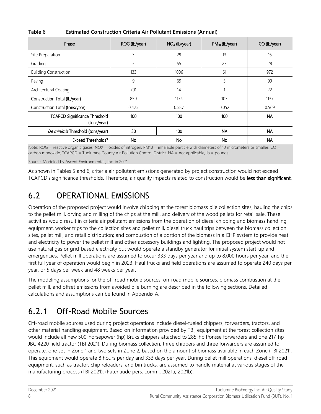| Phase                                               | ROG (lb/year) | $NOx$ (lb/year) | $PM_{10}$ (lb/year) | CO (lb/year) |
|-----------------------------------------------------|---------------|-----------------|---------------------|--------------|
| Site Preparation                                    | 3             | 29              | 13                  | 16           |
| Grading                                             | 5             | 55              | 23                  | 28           |
| <b>Building Construction</b>                        | 133           | 1006            | 61                  | 972          |
| Paving                                              | 9             | 69              | 5                   | 99           |
| Architectural Coating                               | 701           | 14              |                     | 22           |
| Construction Total (lb/year)                        | 850           | 1174            | 103                 | 1137         |
| Construction Total (tons/year)                      | 0.425         | 0.587           | 0.052               | 0.569        |
| <b>TCAPCD Significance Threshold</b><br>(tons/year) | 100           | 100             | 100                 | <b>NA</b>    |
| De minimis Threshold (tons/year)                    | 50            | 100             | <b>NA</b>           | <b>NA</b>    |
| <b>Exceed Thresholds?</b>                           | No            | No              | No                  | <b>NA</b>    |

#### <span id="page-11-0"></span>**Table 6 Estimated Construction Criteria Air Pollutant Emissions (Annual)**

Note: ROG = reactive organic gases, NOX = oxides of nitrogen, PM10 = inhalable particle with diameters of 10 micrometers or smaller, CO = carbon monoxide, TCAPCD = Tuolumne County Air Pollution Control District, NA = not applicable, lb = pounds.

Source: Modeled by Ascent Environmental., Inc. in 2021

As shown in Tables 5 and 6, criteria air pollutant emissions generated by project construction would not exceed TCAPCD's significance thresholds. Therefore, air quality impacts related to construction would be less than significant.

#### 6.2 OPERATIONAL EMISSIONS

Operation of the proposed project would involve chipping at the forest biomass pile collection sites, hauling the chips to the pellet mill, drying and milling of the chips at the mill, and delivery of the wood pellets for retail sale. These activities would result in criteria air pollutant emissions from the operation of diesel chipping and biomass handling equipment, worker trips to the collection sites and pellet mill, diesel truck haul trips between the biomass collection sites, pellet mill, and retail distribution; and combustion of a portion of the biomass in a CHP system to provide heat and electricity to power the pellet mill and other accessory buildings and lighting. The proposed project would not use natural gas or grid-based electricity but would operate a standby generator for initial system start-up and emergencies. Pellet mill operations are assumed to occur 333 days per year and up to 8,000 hours per year, and the first full year of operation would begin in 2023. Haul trucks and field operations are assumed to operate 240 days per year, or 5 days per week and 48 weeks per year.

The modeling assumptions for the off-road mobile sources, on-road mobile sources, biomass combustion at the pellet mill, and offset emissions from avoided pile burning are described in the following sections. Detailed calculations and assumptions can be found in Appendix A.

#### 6.2.1 Off-Road Mobile Sources

Off-road mobile sources used during project operations include diesel-fueled chippers, forwarders, tractors, and other material handling equipment. Based on information provided by TBI, equipment at the forest collection sites would include all new 500-horsepower (hp) Bruks chippers attached to 285-hp Ponsse forwarders and one 217-hp JBC 4220 field tractor (TBI 2021). During biomass collection, three chippers and three forwarders are assumed to operate, one set in Zone 1 and two sets in Zone 2, based on the amount of biomass available in each Zone (TBI 2021). This equipment would operate 8 hours per day and 333 days per year. During pellet mill operations, diesel off-road equipment, such as tractor, chip reloaders, and bin trucks, are assumed to handle material at various stages of the manufacturing process (TBI 2021). (Patenaude pers. comm., 2021a, 2021b).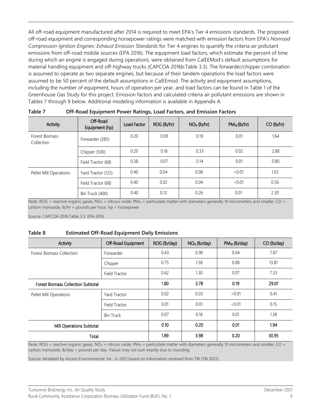All off-road equipment manufactured after 2014 is required to meet EPA's Tier 4 emissions standards. The proposed off-road equipment and corresponding horsepower ratings were matched with emission factors from EPA's *Nonroad Compression-Ignition Engines: Exhaust Emission Standards* for Tier 4 engines to quantify the criteria air pollutant emissions from off-road mobile sources (EPA 2016). The equipment load factors, which estimate the percent of time during which an engine is engaged during operations, were obtained from CalEEMod's default assumptions for material handling equipment and off-highway trucks (CAPCOA 2016b:Table 3.3). The forwarder/chipper combination is assumed to operate as two separate engines, but because of their tandem operations the load factors were assumed to be 50 percent of the default assumptions in CalEEmod. The activity and equipment assumptions, including the number of equipment, hours of operation per year, and load factors can be found in Table 1 of the Greenhouse Gas Study for this project. Emission factors and calculated criteria air pollutant emissions are shown in Tables 7 through 9 below. Additional modeling information is available in Appendix A.

| Activity                     | Off-Road<br>Equipment (hp) | Load Factor | ROG (lb/hr) | $NOX$ (lb/hr) | $PM_{10}$ (lb/hr) | $CO$ (lb/hr) |
|------------------------------|----------------------------|-------------|-------------|---------------|-------------------|--------------|
| Forest Biomass<br>Collection | Forwarder (285)            | 0.20        | 0.09        | 0.19          | 0.01              | 1.64         |
|                              | Chipper (500)              | 0.20        | 0.16        | 0.33          | 0.02              | 2.88         |
|                              | Field Tractor (68)         | 0.38        | 0.07        | 0.14          | 0.01              | 0.80         |
| Pellet Mill Operations       | Yard Tractor (125)         | 0.40        | 0.04        | 0.08          | <0.01             | 1.03         |
|                              | Field Tractor (68)         | 0.40        | 0.02        | 0.04          | <0.01             | 0.56         |
|                              | Bin Truck (400)            | 0.40        | 0.12        | 0.26          | 0.01              | 2.30         |

<span id="page-12-0"></span>**Table 7 Off-Road Equipment Power Ratings, Load Factors, and Emission Factors**

Note:  $ROG$  = reactive organic gases,  $NO<sub>X</sub>$  = nitrous oxide;  $PM<sub>10</sub>$  = particulate matter with diameters generally 10 micrometers and smaller, CO = carbon monoxide, lb/hr = pounds per hour, hp = horsepower

Source: CAPCOA 2016:Table 3.3, EPA 2016

<span id="page-12-1"></span>

| Table 8 |  | <b>Estimated Off-Road Equipment Daily Emissions</b> |  |
|---------|--|-----------------------------------------------------|--|
|         |  |                                                     |  |

| Activity                                  | Off-Road Equipment | ROG (lb/day) | $NOX$ (lb/day) | $PM_{10}$ (lb/day) | CO (lb/day) |
|-------------------------------------------|--------------------|--------------|----------------|--------------------|-------------|
| <b>Forest Biomass Collection</b>          | Forwarder          | 0.43         | 0.90           | 0.04               | 7.87        |
|                                           | Chipper            | 0.75         | 1.58           | 0.08               | 13.81       |
|                                           | Field Tractor      | 0.62         | 1.30           | 0.07               | 7.33        |
| <b>Forest Biomass Collection Subtotal</b> |                    | 1.80         | 3.78           | 0.19               | 29.01       |
| Pellet Mill Operations                    | Yard Tractor       | 0.02         | 0.03           | < 0.01             | 0.41        |
|                                           | Field Tractor      | 0.01         | 0.01           | < 0.01             | 0.15        |
|                                           | <b>Bin Truck</b>   | 0.07         | 0.16           | 0.01               | 1.38        |
| Mill Operations Subtotal                  |                    | 0.10         | 0.20           | 0.01               | 1.94        |
| Total                                     |                    | 1.89         | 3.98           | 0.20               | 30.95       |

Note: ROG = reactive organic gases,  $NO_X$  = nitrous oxide;  $PM_{10}$  = particulate matter with diameters generally 10 micrometers and smaller, CO = carbon monoxide, lb/day = pounds per day. Values may not sum exactly due to rounding.

Source: Modeled by Ascent Environmental. Inc., in 2021 based on information received from TBI (TBI 2021).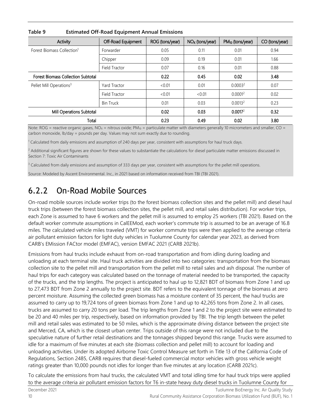| Activity                                  | Off-Road Equipment | ROG (tons/year) | $NOx$ (tons/year) | $PM_{10}$ (tons/year) | CO (tons/year) |
|-------------------------------------------|--------------------|-----------------|-------------------|-----------------------|----------------|
| Forest Biomass Collection <sup>1</sup>    | Forwarder          | 0.05            | 0.11              | 0.01                  | 0.94           |
|                                           | Chipper            | 0.09            | 0.19              | 0.01                  | 1.66           |
|                                           | Field Tractor      | 0.07            | 0.16              | 0.01                  | 0.88           |
| <b>Forest Biomass Collection Subtotal</b> |                    | 0.22            | 0.45              | 0.02                  | 3.48           |
| Pellet Mill Operations <sup>3</sup>       | Yard Tractor       | < 0.01          | 0.01              | 0.0003 <sup>2</sup>   | 0.07           |
|                                           | Field Tractor      | < 0.01          | < 0.01            | 0.0001 <sup>2</sup>   | 0.02           |
|                                           | <b>Bin Truck</b>   | 0.01            | 0.03              | 0.0013 <sup>2</sup>   | 0.23           |
| Mill Operations Subtotal                  |                    | 0.02            | 0.03              | 0.0017 <sup>2</sup>   | 0.32           |
| Total                                     |                    | 0.23            | 0.49              | 0.02                  | 3.80           |

<span id="page-13-0"></span>**Table 9 Estimated Off-Road Equipment Annual Emissions**

Note: ROG = reactive organic gases,  $NO<sub>X</sub>$  = nitrous oxide; PM<sub>10</sub> = particulate matter with diameters generally 10 micrometers and smaller, CO = carbon monoxide, lb/day = pounds per day. Values may not sum exactly due to rounding.

<sup>1</sup> Calculated from daily emissions and assumption of 240 days per year, consistent with assumptions for haul truck days.

 $<sup>2</sup>$  Additional significant figures are shown for these values to substantiate the calculations for diesel particulate matter emissions discussed in</sup> Section 7: Toxic Air Contaminants

 $3$  Calculated from daily emissions and assumption of 333 days per year, consistent with assumptions for the pellet mill operations.

Source: Modeled by Ascent Environmental. Inc., in 2021 based on information received from TBI (TBI 2021).

#### 6.2.2 On-Road Mobile Sources

On-road mobile sources include worker trips (to the forest biomass collection sites and the pellet mill) and diesel haul truck trips (between the forest biomass collection sites, the pellet mill, and retail sales distribution). For worker trips, each Zone is assumed to have 6 workers and the pellet mill is assumed to employ 25 workers (TBI 2021). Based on the default worker commute assumptions in CalEEMod, each worker's commute trip is assumed to be an average of 16.8 miles. The calculated vehicle miles traveled (VMT) for worker commute trips were then applied to the average criteria air pollutant emission factors for light duty vehicles in Tuolumne County for calendar year 2023, as derived from CARB's EMission FACtor model (EMFAC), version EMFAC 2021 (CARB 2021b).

Emissions from haul trucks include exhaust from on-road transportation and from idling during loading and unloading at each terminal site. Haul truck activities are divided into two categories: transportation from the biomass collection site to the pellet mill and transportation from the pellet mill to retail sales and ash disposal. The number of haul trips for each category was calculated based on the tonnage of material needed to be transported, the capacity of the trucks, and the trip lengths. The project is anticipated to haul up to 12,821 BDT of biomass from Zone 1 and up to 27,473 BDT from Zone 2 annually to the project site. BDT refers to the equivalent tonnage of the biomass at zero percent moisture. Assuming the collected green biomass has a moisture content of 35 percent, the haul trucks are assumed to carry up to 19,724 tons of green biomass from Zone 1 and up to 42,265 tons from Zone 2. In all cases, trucks are assumed to carry 20 tons per load. The trip lengths from Zone 1 and 2 to the project site were estimated to be 20 and 40 miles per trip, respectively, based on information provided by TBI. The trip length between the pellet mill and retail sales was estimated to be 50 miles, which is the approximate driving distance between the project site and Merced, CA, which is the closest urban center. Trips outside of this range were not included due to the speculative nature of further retail destinations and the tonnages shipped beyond this range. Trucks were assumed to idle for a maximum of five minutes at each site (biomass collection and pellet mill) to account for loading and unloading activities. Under its adopted Airborne Toxic Control Measure set forth in Title 13 of the California Code of Regulations, Section 2485, CARB requires that diesel-fueled commercial motor vehicles with gross vehicle weight ratings greater than 10,000 pounds not idles for longer than five minutes at any location (CARB 2021c).

To calculate the emissions from haul trucks, the calculated VMT and total idling time for haul truck trips were applied to the average criteria air pollutant emission factors for T6 in-state heavy duty diesel trucks in Tuolumne County for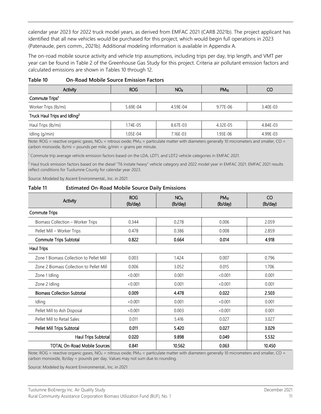calendar year 2023 for 2022 truck model years, as derived from EMFAC 2021 (CARB 2021b). The project applicant has identified that all new vehicles would be purchased for this project, which would begin full operations in 2023 (Patenaude, pers comm., 2021b). Additional modeling information is available in Appendix A.

The on-road mobile source activity and vehicle trip assumptions, including trips per day, trip length, and VMT per year can be found in Table 2 of the Greenhouse Gas Study for this project. Criteria air pollutant emission factors and calculated emissions are shown in Tables 10 through 12.

<span id="page-14-0"></span>

| Table 10 | <b>On-Road Mobile Source Emission Factors</b> |  |  |
|----------|-----------------------------------------------|--|--|
|----------|-----------------------------------------------|--|--|

| <b>Activity</b>                          | <b>ROG</b> | NO <sub>x</sub> | $PM_{10}$ | CO       |
|------------------------------------------|------------|-----------------|-----------|----------|
| Commute Trips <sup>1</sup>               |            |                 |           |          |
| Worker Trips (lb/mi)                     | 5.69E-04   | 4.59E-04        | 9.77E-06  | 3.40E-03 |
| Truck Haul Trips and Idling <sup>2</sup> |            |                 |           |          |
| Haul Trips (lb/mi)                       | 1.74E-05   | 8.67E-03        | 4.32E-05  | 4.84E-03 |
| Idling (g/min)                           | 1.05E-04   | 7.16E-03        | 1.93E-06  | 4.99E-03 |

Note: ROG = reactive organic gases, NO<sub>x</sub> = nitrous oxide; PM<sub>10</sub> = particulate matter with diameters generally 10 micrometers and smaller, CO = carbon monoxide, lb/mi = pounds per mile, g/min = grams per minute.

<sup>1</sup> Commute trip average vehicle emission factors based on the LDA, LDT1, and LDT2 vehicle categories in EMFAC 2021.

<sup>2</sup> Haul truck emission factors based on the diesel "T6 instate heavy" vehicle category and 2022 model year in EMFAC 2021. EMFAC 2021 results reflect conditions for Tuolumne County for calendar year 2023.

Source: Modeled by Ascent Environmental., Inc. in 2021

#### <span id="page-14-1"></span>**Table 11 Estimated On-Road Mobile Source Daily Emissions**

| Activity                                 | <b>ROG</b><br>(lb/day) | NO <sub>X</sub><br>(lb/day) | $PM_{10}$<br>(lb/day) | CO<br>(lb/day) |
|------------------------------------------|------------------------|-----------------------------|-----------------------|----------------|
| <b>Commute Trips</b>                     |                        |                             |                       |                |
| Biomass Collection - Worker Trips        | 0.344                  | 0.278                       | 0.006                 | 2.059          |
| Pellet Mill - Worker Trips               | 0.478                  | 0.386                       | 0.008                 | 2.859          |
| <b>Commute Trips Subtotal</b>            | 0.822                  | 0.664                       | 0.014                 | 4.918          |
| <b>Haul Trips</b>                        |                        |                             |                       |                |
| Zone 1 Biomass Collection to Pellet Mill | 0.003                  | 1.424                       | 0.007                 | 0.796          |
| Zone 2 Biomass Collection to Pellet Mill | 0.006                  | 3.052                       | 0.015                 | 1.706          |
| Zone 1 Idling                            | < 0.001                | 0.001                       | < 0.001               | 0.001          |
| Zone 2 Idling                            | < 0.001                | 0.001                       | < 0.001               | 0.001          |
| <b>Biomass Collection Subtotal</b>       | 0.009                  | 4.478                       | 0.022                 | 2.503          |
| Idling                                   | < 0.001                | 0.001                       | < 0.001               | 0.001          |
| Pellet Mill to Ash Disposal              | < 0.001                | 0.003                       | < 0.001               | 0.001          |
| Pellet Mill to Retail Sales              | 0.011                  | 5.416                       | 0.027                 | 3.027          |
| Pellet Mill Trips Subtotal               | 0.011                  | 5.420                       | 0.027                 | 3.029          |
| Haul Trips Subtotal                      | 0.020                  | 9.898                       | 0.049                 | 5.532          |
| <b>TOTAL On-Road Mobile Sources</b>      | 0.841                  | 10.562                      | 0.063                 | 10.450         |

Note:  $ROG$  = reactive organic gases,  $NO<sub>X</sub>$  = nitrous oxide;  $PM<sub>10</sub>$  = particulate matter with diameters generally 10 micrometers and smaller, CO = carbon monoxide, lb/day = pounds per day. Values may not sum due to rounding.

Source: Modeled by Ascent Environmental., Inc. in 2021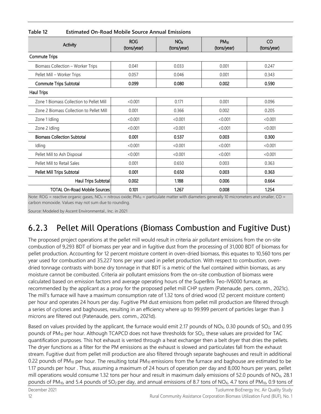<span id="page-15-0"></span>**Table 12 Estimated On-Road Mobile Source Annual Emissions**

| Activity                                 | <b>ROG</b><br>(tons/year) | NO <sub>X</sub><br>(tons/year) | $PM_{10}$<br>(tons/year) | CO<br>(tons/year) |
|------------------------------------------|---------------------------|--------------------------------|--------------------------|-------------------|
| <b>Commute Trips</b>                     |                           |                                |                          |                   |
| Biomass Collection - Worker Trips        | 0.041                     | 0.033                          | 0.001                    | 0.247             |
| Pellet Mill - Worker Trips               | 0.057                     | 0.046                          | 0.001                    | 0.343             |
| <b>Commute Trips Subtotal</b>            | 0.099                     | 0.080                          | 0.002                    | 0.590             |
| <b>Haul Trips</b>                        |                           |                                |                          |                   |
| Zone 1 Biomass Collection to Pellet Mill | < 0.001                   | 0.171                          | 0.001                    | 0.096             |
| Zone 2 Biomass Collection to Pellet Mill | 0.001                     | 0.366                          | 0.002                    | 0.205             |
| Zone 1 Idling                            | < 0.001                   | < 0.001                        | < 0.001                  | < 0.001           |
| Zone 2 Idling                            | < 0.001                   | < 0.001                        | < 0.001                  | < 0.001           |
| <b>Biomass Collection Subtotal</b>       | 0.001                     | 0.537                          | 0.003                    | 0.300             |
| Idling                                   | < 0.001                   | < 0.001                        | < 0.001                  | < 0.001           |
| Pellet Mill to Ash Disposal              | < 0.001                   | < 0.001                        | < 0.001                  | < 0.001           |
| Pellet Mill to Retail Sales              | 0.001                     | 0.650                          | 0.003                    | 0.363             |
| Pellet Mill Trips Subtotal               | 0.001                     | 0.650                          | 0.003                    | 0.363             |
| Haul Trips Subtotal                      | 0.002                     | 1.188                          | 0.006                    | 0.664             |
| <b>TOTAL On-Road Mobile Sources</b>      | 0.101                     | 1.267                          | 0.008                    | 1.254             |

Note: ROG = reactive organic gases, NO<sub>X</sub> = nitrous oxide; PM<sub>10</sub> = particulate matter with diameters generally 10 micrometers and smaller, CO = carbon monoxide. Values may not sum due to rounding.

Source: Modeled by Ascent Environmental., Inc. in 2021

#### 6.2.3 Pellet Mill Operations (Biomass Combustion and Fugitive Dust)

The proposed project operations at the pellet mill would result in criteria air pollutant emissions from the on-site combustion of 9,293 BDT of biomass per year and in fugitive dust from the processing of 31,000 BDT of biomass for pellet production. Accounting for 12 percent moisture content in oven-dried biomass, this equates to 10,560 tons per year used for combustion and 35,227 tons per year used in pellet production. With respect to combustion, ovendried tonnage contrasts with bone dry tonnage in that BDT is a metric of the fuel contained within biomass, as any moisture cannot be combusted. Criteria air pollutant emissions from the on-site combustion of biomass were calculated based on emission factors and average operating hours of the SuperBrix Teo-IV6000 furnace, as recommended by the applicant as a proxy for the proposed pellet mill CHP system (Patenaude, pers. comm., 2021c). The mill's furnace will have a maximum consumption rate of 1.32 tons of dried wood (12 percent moisture content) per hour and operates 24 hours per day. Fugitive PM dust emissions from pellet mill production are filtered through a series of cyclones and baghouses, resulting in an efficiency where up to 99.999 percent of particles larger than 3 microns are filtered out (Patenaude, pers. comm., 2021d).

Based on values provided by the applicant, the furnace would emit 2.17 pounds of NO<sub>x</sub>, 0.30 pounds of SO<sub>2</sub>, and 0.95 pounds of PM<sub>10</sub> per hour. Although TCAPCD does not have thresholds for SO<sub>2</sub>, these values are provided for TAC quantification purposes. This hot exhaust is vented through a heat exchanger then a belt dryer that dries the pellets. The dryer functions as a filter for the PM emissions as the exhaust is slowed and particulates fall from the exhaust stream. Fugitive dust from pellet mill production are also filtered through separate baghouses and result in additional 0.22 pounds of PM<sub>10</sub> per hour. The resulting total PM<sub>10</sub> emissions from the furnace and baghouse are estimated to be 1.17 pounds per hour . Thus, assuming a maximum of 24 hours of operation per day and 8,000 hours per years, pellet mill operations would consume 1.32 tons per hour and result in maximum daily emissions of 52.0 pounds of NO<sub>x</sub>, 28.1 pounds of PM<sub>10</sub>, and 5.4 pounds of SO<sub>2</sub> per day, and annual emissions of 8.7 tons of NO<sub>X</sub>, 4.7 tons of PM<sub>10</sub>, 0.9 tons of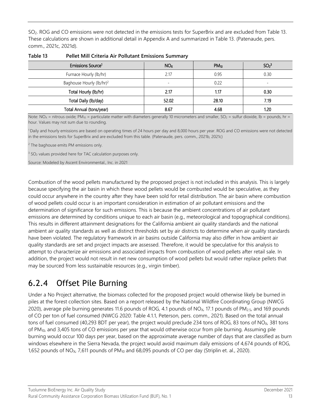SO2. ROG and CO emissions were not detected in the emissions tests for SuperBrix and are excluded from Table 13. These calculations are shown in additional detail in Appendix A and summarized in Table 13. (Patenaude, pers. comm., 2021c, 2021d).

| Emissions Source <sup>1</sup>        | NO <sub>X</sub> | $PM_{10}$ | SO <sub>2</sub> <sup>3</sup> |
|--------------------------------------|-----------------|-----------|------------------------------|
| Furnace Hourly (lb/hr)               | 2.17            | 0.95      | 0.30                         |
| Baghouse Hourly (lb/hr) <sup>2</sup> |                 | 0.22      | ۰                            |
| Total Hourly (lb/hr)                 | 2.17            | 1.17      | 0.30                         |
| Total Daily (lb/day)                 | 52.02           | 28.10     | 7.19                         |
| Total Annual (tons/year)             | 8.67            | 4.68      | 1.20                         |

**Table 13 Pellet Mill Criteria Air Pollutant Emissions Summary**

Note:  $NO<sub>X</sub>$  = nitrous oxide; PM<sub>10</sub> = particulate matter with diameters generally 10 micrometers and smaller,  $SO<sub>2</sub>$  = sulfur dioxide, lb = pounds, hr = hour. Values may not sum due to rounding.

1 Daily and hourly emissions are based on operating times of 24 hours per day and 8,000 hours per year. ROG and CO emissions were not detected in the emissions tests for SuperBrix and are excluded from this table. (Patenaude, pers. comm., 2021b, 2021c)

<sup>2</sup> The baghouse emits PM emissions only.

<sup>3</sup> SO<sub>2</sub> values provided here for TAC calculation purposes only.

Source: Modeled by Ascent Environmental., Inc. in 2021

Combustion of the wood pellets manufactured by the proposed project is not included in this analysis. This is largely because specifying the air basin in which these wood pellets would be combusted would be speculative, as they could occur anywhere in the country after they have been sold for retail distribution. The air basin where combustion of wood pellets could occur is an important consideration in estimation of air pollutant emissions and the determination of significance for such emissions. This is because the ambient concentrations of air pollutant emissions are determined by conditions unique to each air basin (e.g., meteorological and topographical conditions). This results in different attainment designations for the California ambient air quality standards and the national ambient air quality standards as well as distinct thresholds set by air districts to determine when air quality standards have been violated. The regulatory framework in air basins outside California may also differ in how ambient air quality standards are set and project impacts are assessed. Therefore, it would be speculative for this analysis to attempt to characterize air emissions and associated impacts from combustion of wood pellets after retail sale. In addition, the project would not result in net new consumption of wood pellets but would rather replace pellets that may be sourced from less sustainable resources (e.g., virgin timber).

#### 6.2.4 Offset Pile Burning

Under a No Project alternative, the biomass collected for the proposed project would otherwise likely be burned in piles at the forest collection sites. Based on a report released by the National Wildfire Coordinating Group (NWCG 2020), average pile burning generates 11.6 pounds of ROG, 4.1 pounds of NO<sub>x</sub>, 17.1 pounds of PM<sub>2.5</sub>, and 169 pounds of CO per ton of fuel consumed (NWCG 2020: Table 4.1.1, Peterson, pers. comm., 2021). Based on the total annual tons of fuel consumed (40,293 BDT per year), the project would preclude 234 tons of ROG, 83 tons of NO<sub>x</sub>, 381 tons of PM10, and 3,405 tons of CO emissions per year that would otherwise occur from pile burning. Assuming pile burning would occur 100 days per year, based on the approximate average number of days that are classified as burn windows elsewhere in the Sierra Nevada, the project would avoid maximum daily emissions of 4,674 pounds of ROG, 1,652 pounds of  $NO<sub>X</sub>$ , 7,611 pounds of PM<sub>10</sub> and 68,095 pounds of CO per day (Striplin et. al., 2020).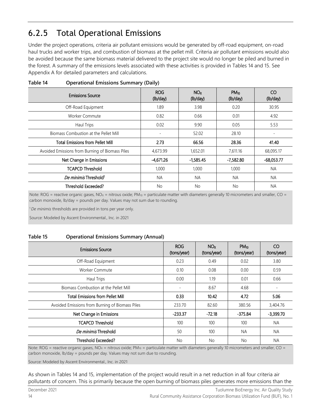#### 6.2.5 Total Operational Emissions

Under the project operations, criteria air pollutant emissions would be generated by off-road equipment, on-road haul trucks and worker trips, and combustion of biomass at the pellet mill. Criteria air pollutant emissions would also be avoided because the same biomass material delivered to the project site would no longer be piled and burned in the forest. A summary of the emissions levels associated with these activities is provided in Tables 14 and 15. See Appendix A for detailed parameters and calculations.

| <b>Emissions Source</b>                         | <b>ROG</b><br>(lb/day) | N <sub>Ox</sub><br>(lb/day) | $PM_{10}$<br>(lb/day) | CO.<br>(lb/day)          |
|-------------------------------------------------|------------------------|-----------------------------|-----------------------|--------------------------|
| Off-Road Equipment                              | 1.89                   | 3.98                        | 0.20                  | 30.95                    |
| <b>Worker Commute</b>                           | 0.82                   | 0.66                        | 0.01                  | 4.92                     |
| Haul Trips                                      | 0.02                   | 9.90                        | 0.05                  | 5.53                     |
| Biomass Combustion at the Pellet Mill           |                        | 52.02                       | 28.10                 | $\overline{\phantom{0}}$ |
| <b>Total Emissions from Pellet Mill</b>         | 2.73                   | 66.56                       | 28.36                 | 41.40                    |
| Avoided Emissions from Burning of Biomass Piles | 4,673.99               | 1,652.01                    | 7,611.16              | 68,095.17                |
| Net Change in Emissions                         | -4,671.26              | $-1,585.45$                 | -7,582.80             | $-68,053.77$             |
| <b>TCAPCD Threshold</b>                         | 1,000                  | 1,000                       | 1,000                 | <b>NA</b>                |
| De minimis Threshold <sup>1</sup>               | <b>NA</b>              | <b>NA</b>                   | <b>NA</b>             | <b>NA</b>                |
| Threshold Exceeded?                             | <b>No</b>              | No.                         | <b>No</b>             | <b>NA</b>                |

#### <span id="page-17-0"></span>**Table 14 Operational Emissions Summary (Daily)**

Note: ROG = reactive organic gases,  $NO_x$  = nitrous oxide;  $PM_{10}$  = particulate matter with diameters generally 10 micrometers and smaller, CO = carbon monoxide, lb/day = pounds per day. Values may not sum due to rounding.

<sup>1</sup>*De minimis* thresholds are provided in tons per year only.

Source: Modeled by Ascent Environmental., Inc. in 2021

#### <span id="page-17-1"></span>**Table 15 Operational Emissions Summary (Annual)**

| <b>Emissions Source</b>                         | <b>ROG</b><br>(tons/year) | NO <sub>x</sub><br>(tons/year) | $PM_{10}$<br>(tons/year) | CO<br>(tons/year) |
|-------------------------------------------------|---------------------------|--------------------------------|--------------------------|-------------------|
| Off-Road Equipment                              | 0.23                      | 0.49                           | 0.02                     | 3.80              |
| Worker Commute                                  | 0.10                      | 0.08                           | 0.00                     | 0.59              |
| Haul Trips                                      | 0.00                      | 1.19                           | 0.01                     | 0.66              |
| Biomass Combustion at the Pellet Mill           | ۰.                        | 8.67                           | 4.68                     | $\overline{a}$    |
| <b>Total Emissions from Pellet Mill</b>         | 0.33                      | 10.42                          | 4.72                     | 5.06              |
| Avoided Emissions from Burning of Biomass Piles | 233.70                    | 82.60                          | 380.56                   | 3,404.76          |
| Net Change in Emissions                         | $-233.37$                 | $-72.18$                       | $-375.84$                | $-3,399.70$       |
| <b>TCAPCD Threshold</b>                         | 100                       | 100                            | 100                      | <b>NA</b>         |
| De minimis Threshold                            | 50                        | 100                            | <b>NA</b>                | <b>NA</b>         |
| Threshold Exceeded?                             | <b>No</b>                 | No.                            | <b>No</b>                | <b>NA</b>         |

Note: ROG = reactive organic gases, NO<sub>x</sub> = nitrous oxide; PM<sub>10</sub> = particulate matter with diameters generally 10 micrometers and smaller, CO = carbon monoxide, lb/day = pounds per day. Values may not sum due to rounding.

Source: Modeled by Ascent Environmental., Inc. in 2021

As shown in Tables 14 and 15, implementation of the project would result in a net reduction in all four criteria air pollutants of concern. This is primarily because the open burning of biomass piles generates more emissions than the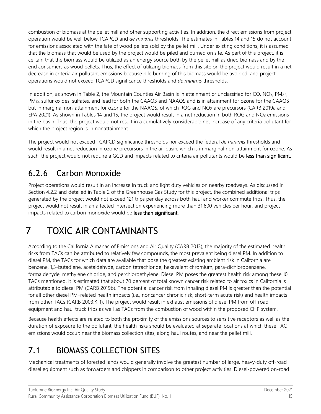combustion of biomass at the pellet mill and other supporting activities. In addition, the direct emissions from project operation would be well below TCAPCD and *de minimis* thresholds. The estimates in Tables 14 and 15 do not account for emissions associated with the fate of wood pellets sold by the pellet mill. Under existing conditions, it is assumed that the biomass that would be used by the project would be piled and burned on site. As part of this project, it is certain that the biomass would be utilized as an energy source both by the pellet mill as dried biomass and by the end consumers as wood pellets. Thus, the effect of utilizing biomass from this site on the project would result in a net decrease in criteria air pollutant emissions because pile burning of this biomass would be avoided, and project operations would not exceed TCAPCD significance thresholds and *de minimis* thresholds.

In addition, as shown in Table 2, the Mountain Counties Air Basin is in attainment or unclassified for CO,  $NO<sub>X</sub>$ , PM<sub>2.5</sub>, PM10, sulfur oxides, sulfates, and lead for both the CAAQS and NAAQS and is in attainment for ozone for the CAAQS but in marginal non-attainment for ozone for the NAAQS, of which ROG and NOx are precursors (CARB 2019a and EPA 2021). As shown in Tables 14 and 15, the project would result in a net reduction in both ROG and  $NO<sub>X</sub>$  emissions in the basin. Thus, the project would not result in a cumulatively considerable net increase of any criteria pollutant for which the project region is in nonattainment.

The project would not exceed TCAPCD significance thresholds nor exceed the federal *de minimis* thresholds and would result in a net reduction in ozone precursors in the air basin, which is in marginal non-attainment for ozone. As such, the project would not require a GCD and impacts related to criteria air pollutants would be less than significant.

#### 6.2.6 Carbon Monoxide

Project operations would result in an increase in truck and light duty vehicles on nearby roadways. As discussed in Section 4.2.2 and detailed in Table 2 of the Greenhouse Gas Study for this project, the combined additional trips generated by the project would not exceed 121 trips per day across both haul and worker commute trips. Thus, the project would not result in an affected intersection experiencing more than 31,600 vehicles per hour, and project impacts related to carbon monoxide would be less than significant.

## 7 TOXIC AIR CONTAMINANTS

According to the California Almanac of Emissions and Air Quality (CARB 2013), the majority of the estimated health risks from TACs can be attributed to relatively few compounds, the most prevalent being diesel PM. In addition to diesel PM, the TACs for which data are available that pose the greatest existing ambient risk in California are benzene, 1,3-butadiene, acetaldehyde, carbon tetrachloride, hexavalent chromium, para-dichlorobenzene, formaldehyde, methylene chloride, and perchloroethylene. Diesel PM poses the greatest health risk among these 10 TACs mentioned. It is estimated that about 70 percent of total known cancer risk related to air toxics in California is attributable to diesel PM (CARB 2019b). The potential cancer risk from inhaling diesel PM is greater than the potential for all other diesel PM–related health impacts (i.e., noncancer chronic risk, short-term acute risk) and health impacts from other TACs (CARB 2003:K-1). The project would result in exhaust emissions of diesel PM from off-road equipment and haul truck trips as well as TACs from the combustion of wood within the proposed CHP system.

Because health effects are related to both the proximity of the emissions sources to sensitive receptors as well as the duration of exposure to the pollutant, the health risks should be evaluated at separate locations at which these TAC emissions would occur: near the biomass collection sites, along haul routes, and near the pellet mill.

#### 7.1 BIOMASS COLLECTION SITES

Mechanical treatments of forested lands would generally involve the greatest number of large, heavy-duty off-road diesel equipment such as forwarders and chippers in comparison to other project activities. Diesel-powered on-road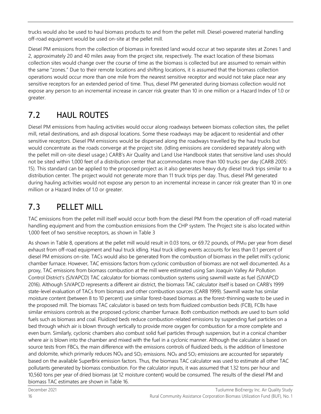trucks would also be used to haul biomass products to and from the pellet mill. Diesel-powered material handling off-road equipment would be used on-site at the pellet mill.

Diesel PM emissions from the collection of biomass in forested land would occur at two separate sites at Zones 1 and 2, approximately 20 and 40 miles away from the project site, respectively. The exact location of these biomass collection sites would change over the course of time as the biomass is collected but are assumed to remain within the same "zones." Due to their remote locations and shifting locations, it is assumed that the biomass collection operations would occur more than one mile from the nearest sensitive receptor and would not take place near any sensitive receptors for an extended period of time. Thus, diesel PM generated during biomass collection would not expose any person to an incremental increase in cancer risk greater than 10 in one million or a Hazard Index of 1.0 or greater.

#### 7.2 HAUL ROUTES

Diesel PM emissions from hauling activities would occur along roadways between biomass collection sites, the pellet mill, retail destinations, and ash disposal locations. Some these roadways may be adjacent to residential and other sensitive receptors. Diesel PM emissions would be dispersed along the roadways travelled by the haul trucks but would concentrate as the roads converge at the project site. (Idling emissions are considered separately along with the pellet mill on-site diesel usage.) CARB's Air Quality and Land Use Handbook states that sensitive land uses should not be sited within 1,000 feet of a distribution center that accommodates more than 100 trucks per day (CARB 2005: 15). This standard can be applied to the proposed project as it also generates heavy duty diesel truck trips similar to a distribution center. The project would not generate more than 11 truck trips per day. Thus, diesel PM generated during hauling activities would not expose any person to an incremental increase in cancer risk greater than 10 in one million or a Hazard Index of 1.0 or greater.

#### 7.3 PELLET MILL

TAC emissions from the pellet mill itself would occur both from the diesel PM from the operation of off-road material handling equipment and from the combustion emissions from the CHP system. The Project site is also located within 1,000 feet of two sensitive receptors, as shown in Table 3

As shown in Table 8, operations at the pellet mill would result in 0.03 tons, or 69.72 pounds, of PM<sub>10</sub> per year from diesel exhaust from off-road equipment and haul truck idling. Haul truck idling events accounts for less than 0.1 percent of diesel PM emissions on-site. TACs would also be generated from the combustion of biomass in the pellet mill's cyclonic chamber furnace. However, TAC emissions factors from cyclonic combustion of biomass are not well documented. As a proxy, TAC emissions from biomass combustion at the mill were estimated using San Joaquin Valley Air Pollution Control District's (SJVAPCD) TAC calculator for biomass combustion systems using sawmill waste as fuel (SJVAPCD 2016). Although SJVAPCD represents a different air district, the biomass TAC calculator itself is based on CARB's 1999 state-level evaluation of TACs from biomass and other combustion sources (CARB 1999). Sawmill waste has similar moisture content (between 8 to 10 percent) use similar forest-based biomass as the forest-thinning waste to be used in the proposed mill. The biomass TAC calculator is based on tests from fluidized combustion beds (FCB), FCBs have similar emissions controls as the proposed cyclonic chamber furnace. Both combustion methods are used to burn solid fuels such as biomass and coal. Fluidized beds reduce combustion-related emissions by suspending fuel particles on a bed through which air is blown through vertically to provide more oxygen for combustion for a more complete and even burn. Similarly, cyclonic chambers also combust solid fuel particles through suspension, but in a conical chamber where air is blown into the chamber and mixed with the fuel in a cyclonic manner. Although the calculator is based on source tests from FBCs, the main difference with the emissions controls of fluidized beds, is the addition of limestone and dolomite, which primarily reduces  $NO<sub>X</sub>$  and  $SO<sub>2</sub>$  emissions.  $NO<sub>X</sub>$  and  $SO<sub>2</sub>$  emissions are accounted for separately based on the available SuperBrix emission factors. Thus, the biomass TAC calculator was used to estimate all other TAC pollutants generated by biomass combustion. For the calculator inputs, it was assumed that 1.32 tons per hour and 10,560 tons per year of dried biomass (at 12 moisture content) would be consumed. The results of the diesel PM and biomass TAC estimates are shown in Table 16.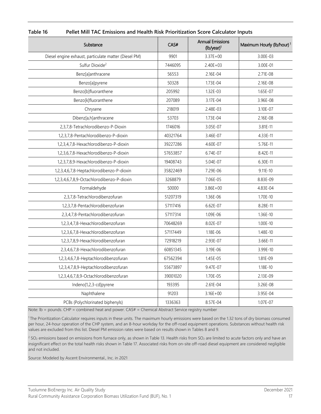| Substance                                             | CAS#     | <b>Annual Emissions</b><br>$(lb/year)^1$ | Maximum Hourly (lb/hour) <sup>1</sup> |
|-------------------------------------------------------|----------|------------------------------------------|---------------------------------------|
| Diesel engine exhaust, particulate matter (Diesel PM) | 9901     | $3.37E + 00$                             | 3.00E-03                              |
| Sulfur Dioxide <sup>2</sup>                           | 7446095  | $2.40E + 03$                             | 3.00E-01                              |
| Benz[a]anthracene                                     | 56553    | 2.16E-04                                 | 2.71E-08                              |
| Benzo[a]pyrene                                        | 50328    | 1.73E-04                                 | 2.16E-08                              |
| Benzo[b]fluoranthene                                  | 205992   | 1.32E-03                                 | 1.65E-07                              |
| Benzo[k]fluoranthene                                  | 207089   | 3.17E-04                                 | 3.96E-08                              |
| Chrysene                                              | 218019   | 2.48E-03                                 | 3.10E-07                              |
| Dibenz[a,h]anthracene                                 | 53703    | 1.73E-04                                 | 2.16E-08                              |
| 2,3,7,8-Tetrachlorodibenzo-P-Dioxin                   | 1746016  | 3.05E-07                                 | 3.81E-11                              |
| 1,2,3,7,8-Pentachlorodibenzo-P-dioxin                 | 40321764 | 3.46E-07                                 | 4.33E-11                              |
| 1,2,3,4,7,8-Hexachlorodibenzo-P-dioxin                | 39227286 | 4.60E-07                                 | 5.76E-11                              |
| 1,2,3,6,7,8-Hexachlorodibenzo-P-dioxin                | 57653857 | 6.74E-07                                 | 8.42E-11                              |
| 1,2,3,7,8,9-Hexachlorodibenzo-P-dioxin                | 19408743 | 5.04E-07                                 | 6.30E-11                              |
| 1,2,3,4,6,7,8-Heptachlorodibenzo-P-dioxin             | 35822469 | 7.29E-06                                 | $9.11E - 10$                          |
| 1,2,3,4,6,7,8,9-Octachlorodibenzo-P-dioxin            | 3268879  | 7.06E-05                                 | 8.83E-09                              |
| Formaldehyde                                          | 50000    | $3.86E + 00$                             | 4.83E-04                              |
| 2,3,7,8-Tetrachlorodibenzofuran                       | 51207319 | 1.36E-06                                 | 1.70E-10                              |
| 1,2,3,7,8-Pentachlorodibenzofuran                     | 57117416 | 6.62E-07                                 | 8.28E-11                              |
| 2,3,4,7,8-Pentachlorodibenzofuran                     | 57117314 | 1.09E-06                                 | 1.36E-10                              |
| 1,2,3,4,7,8-Hexachlorodibenzofuran                    | 70648269 | 8.02E-07                                 | $1.00E - 10$                          |
| 1,2,3,6,7,8-Hexachlorodibenzofuran                    | 57117449 | 1.18E-06                                 | 1.48E-10                              |
| 1,2,3,7,8,9-Hexachlorodibenzofuran                    | 72918219 | 2.93E-07                                 | 3.66E-11                              |
| 2,3,4,6,7,8-Hexachlorodibenzofuran                    | 60851345 | 3.19E-06                                 | 3.99E-10                              |
| 1,2,3,4,6,7,8-Heptachlorodibenzofuran                 | 67562394 | 1.45E-05                                 | 1.81E-09                              |
| 1,2,3,4,7,8,9-Heptachlorodibenzofuran                 | 55673897 | 9.47E-07                                 | 1.18E-10                              |
| 1,2,3,4,6,7,8,9-Octachlorodibenzofuran                | 39001020 | 1.70E-05                                 | 2.13E-09                              |
| Indeno[1,2,3-cd]pyrene                                | 193395   | $2.61E - 04$                             | 3.26E-08                              |
| Naphthalene                                           | 91203    | $3.16E + 00$                             | 3.95E-04                              |
| PCBs {Polychlorinated biphenyls}                      | 1336363  | 8.57E-04                                 | 1.07E-07                              |

<span id="page-20-0"></span>**Table 16 Pellet Mill TAC Emissions and Health Risk Prioritization Score Calculator Inputs**

Note: lb = pounds. CHP = combined heat and power. CAS# = Chemical Abstract Service registry number

1 The Prioritization Calculator requires inputs in these units. The maximum hourly emissions were based on the 1.32 tons of dry biomass consumed per hour, 24-hour operation of the CHP system, and an 8-hour workday for the off-road equipment operations. Substances without health risk values are excluded from this list. Diesel PM emission rates were based on results shown in Tables 8 and 9.

 $2$  SO<sub>2</sub> emissions based on emissions from furnace only, as shown in Table 13. Health risks from SO<sub>2</sub> are limited to acute factors only and have an insignificant effect on the total health risks shown in Table 17. Associated risks from on-site off-road diesel equipment are considered negligible and not included.

Source: Modeled by Ascent Environmental., Inc. in 2021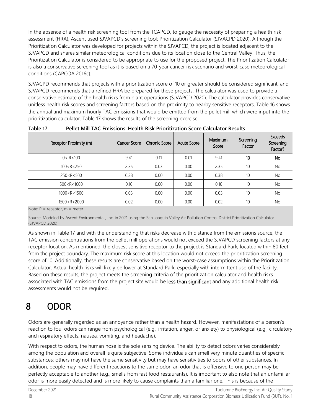In the absence of a health risk screening tool from the TCAPCD, to gauge the necessity of preparing a health risk assessment (HRA), Ascent used SJVAPCD's screening tool: Prioritization Calculator (SJVACPD 2020). Although the Prioritization Calculator was developed for projects within the SJVAPCD, the project is located adjacent to the SJVAPCD and shares similar meteorological conditions due to its location close to the Central Valley. Thus, the Prioritization Calculator is considered to be appropriate to use for the proposed project. The Prioritization Calculator is also a conservative screening tool as it is based on a 70-year cancer risk scenario and worst-case meteorological conditions (CAPCOA 2016c).

SJVACPD recommends that projects with a prioritization score of 10 or greater should be considered significant, and SJVAPCD recommends that a refined HRA be prepared for these projects. The calculator was used to provide a conservative estimate of the health risks from plant operations (SJVAPCD 2020). The calculator provides conservative unitless health risk scores and screening factors based on the proximity to nearby sensitive receptors. Table 16 shows the annual and maximum hourly TAC emissions that would be emitted from the pellet mill which were input into the prioritization calculator. Table 17 shows the results of the screening exercise.

| Receptor Proximity (m) | <b>Cancer Score</b> | <b>Chronic Score</b> | <b>Acute Score</b> | Maximum<br>Score | Screening<br>Factor | <b>Exceeds</b><br>Screening<br>Factor? |
|------------------------|---------------------|----------------------|--------------------|------------------|---------------------|----------------------------------------|
| 0 < R < 100            | 9.41                | 0.11                 | 0.01               | 9.41             | 10                  | No                                     |
| 100 < R < 250          | 2.35                | 0.03                 | 0.00               | 2.35             | 10                  | No.                                    |
| 250 < R < 500          | 0.38                | 0.00                 | 0.00               | 0.38             | 10                  | No.                                    |
| 500 < R < 1000         | 0.10                | 0.00                 | 0.00               | 0.10             | 10                  | <b>No</b>                              |
| 1000 < R < 1500        | 0.03                | 0.00                 | 0.00               | 0.03             | 10                  | <b>No</b>                              |
| 1500 < R < 2000        | 0.02                | 0.00                 | 0.00               | 0.02             | 10                  | <b>No</b>                              |

**Table 17 Pellet Mill TAC Emissions: Health Risk Prioritization Score Calculator Results**

Note: R = receptor, m = meter

Source: Modeled by Ascent Environmental., Inc. in 2021 using the San Joaquin Valley Air Pollution Control District Prioritization Calculator (SJVAPCD 2020)

As shown in Table 17 and with the understanding that risks decrease with distance from the emissions source, the TAC emission concentrations from the pellet mill operations would not exceed the SJVAPCD screening factors at any receptor location. As mentioned, the closest sensitive receptor to the project is Standard Park, located within 80 feet from the project boundary. The maximum risk score at this location would not exceed the prioritization screening score of 10. Additionally, these results are conservative based on the worst-case assumptions within the Prioritization Calculator. Actual health risks will likely be lower at Standard Park, especially with intermittent use of the facility. Based on these results, the project meets the screening criteria of the prioritization calculator and health risks associated with TAC emissions from the project site would be less than significant and any additional health risk assessments would not be required.

### 8 ODOR

Odors are generally regarded as an annoyance rather than a health hazard. However, manifestations of a person's reaction to foul odors can range from psychological (e.g., irritation, anger, or anxiety) to physiological (e.g., circulatory and respiratory effects, nausea, vomiting, and headache).

With respect to odors, the human nose is the sole sensing device. The ability to detect odors varies considerably among the population and overall is quite subjective. Some individuals can smell very minute quantities of specific substances; others may not have the same sensitivity but may have sensitivities to odors of other substances. In addition, people may have different reactions to the same odor; an odor that is offensive to one person may be perfectly acceptable to another (e.g., smells from fast food restaurants). It is important to also note that an unfamiliar odor is more easily detected and is more likely to cause complaints than a familiar one. This is because of the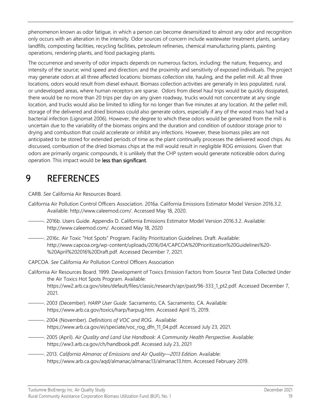phenomenon known as odor fatigue, in which a person can become desensitized to almost any odor and recognition only occurs with an alteration in the intensity. Odor sources of concern include wastewater treatment plants, sanitary landfills, composting facilities, recycling facilities, petroleum refineries, chemical manufacturing plants, painting operations, rendering plants, and food packaging plants.

The occurrence and severity of odor impacts depends on numerous factors, including: the nature, frequency, and intensity of the source; wind speed and direction; and the proximity and sensitivity of exposed individuals. The project may generate odors at all three affected locations: biomass collection site, hauling, and the pellet mill. At all three locations, odors would result from diesel exhaust. Biomass collection activities are generally in less populated, rural, or undeveloped areas, where human receptors are sparse. Odors from diesel haul trips would be quickly dissipated, there would be no more than 20 trips per day on any given roadway, trucks would not concentrate at any single location, and trucks would also be limited to idling for no longer than five minutes at any location. At the pellet mill, storage of the delivered and dried biomass could also generate odors, especially if any of the wood mass had had a bacterial infection (Lignomat 2006). However, the degree to which these odors would be generated from the mill is uncertain due to the variability of the biomass origins and the duration and condition of outdoor storage prior to drying and combustion that could accelerate or inhibit any infections. However, these biomass piles are not anticipated to be stored for extended periods of time as the plant continually processes the delivered wood chips. As discussed, combustion of the dried biomass chips at the mill would result in negligible ROG emissions. Given that odors are primarily organic compounds, it is unlikely that the CHP system would generate noticeable odors during operation. This impact would be less than significant.

#### 9 REFERENCES

CARB. *See* California Air Resources Board.

- California Air Pollution Control Officers Association. 2016a. California Emissions Estimator Model Version 2016.3.2. Available: [http://www.caleemod.com/.](http://www.caleemod.com/) Accessed May 18, 2020.
- ———. 2016b. Users Guide. Appendix D. California Emissions Estimator Model Version 2016.3.2. Available: [http://www.caleemod.com/.](http://www.caleemod.com/) Accessed May 18, 2020
- ———. 2016c. Air Toxic "Hot Spots" Program. Facility Prioritization Guidelines. Draft. Available: [http://www.capcoa.org/wp-content/uploads/2016/04/CAPCOA%20Prioritization%20Guidelines%20-](http://www.capcoa.org/wp-content/uploads/2016/04/CAPCOA%20Prioritization%20Guidelines%20-%20April%202016%20Draft.pdf) [%20April%202016%20Draft.pdf.](http://www.capcoa.org/wp-content/uploads/2016/04/CAPCOA%20Prioritization%20Guidelines%20-%20April%202016%20Draft.pdf) Accessed December 7, 2021.
- CAPCOA. *See* California Air Pollution Control Officers Association
- California Air Resources Board. 1999. Development of Toxics Emission Factors from Source Test Data Collected Under the Air Toxics Hot Spots Program. Available: [https://ww2.arb.ca.gov/sites/default/files/classic/research/apr/past/96-333\\_1\\_pt2.pdf.](https://ww2.arb.ca.gov/sites/default/files/classic/research/apr/past/96-333_1_pt2.pdf./) Accessed December 7, 2021.
- ———. 2003 (December). *HARP User Guide.* Sacramento, CA. Sacramento, CA. Available: [https://www.arb.ca.gov/toxics/harp/harpug.htm.](https://www.arb.ca.gov/toxics/harp/harpug.htm) Accessed April 15, 2019.
- ———. 2004 (November). *Definitions of VOC and ROG*. Available: [https://www.arb.ca.gov/ei/speciate/voc\\_rog\\_dfn\\_11\\_04.pdf.](https://www.arb.ca.gov/ei/speciate/voc_rog_dfn_11_04.pdf) Accessed July 23, 2021.
- ———. 2005 (April). *Air Quality and Land Use Handbook: A Community Health Perspective*. Available: [https://ww3.arb.ca.gov/ch/handbook.pdf.](https://ww3.arb.ca.gov/ch/handbook.pdf) Accessed July 23, 2021
- ———. 2013. *California Almanac of Emissions and Air Quality—2013 Edition*. Available: [https://www.arb.ca.gov/aqd/almanac/almanac13/almanac13.htm.](https://www.arb.ca.gov/aqd/almanac/almanac13/almanac13.htm) Accessed February 2019.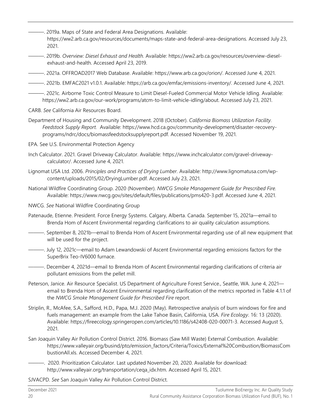- ———. 2019a. Maps of State and Federal Area Designations. Available: https://ww2.arb.ca.gov/resources/documents/maps-state-and-federal-area-designations. Accessed July 23, 2021.
- ———. 2019b. *Overview: Diesel Exhaust and Health.* Available: [https://ww2.arb.ca.gov/resources/overview-diesel](https://ww2.arb.ca.gov/resources/overview-diesel-exhaust-and-health)[exhaust-and-health.](https://ww2.arb.ca.gov/resources/overview-diesel-exhaust-and-health) Accessed April 23, 2019.
- ———. 2021a. OFFROAD2017 Web Database. Available: [https://www.arb.ca.gov/orion/.](https://www.arb.ca.gov/orion/) Accessed June 4, 2021.
- ———. 2021b. EMFAC2021 v1.0.1. Available: [https://arb.ca.gov/emfac/emissions-inventory/.](https://arb.ca.gov/emfac/emissions-inventory/) Accessed June 4, 2021.
- ———. 2021c. Airborne Toxic Control Measure to Limit Diesel-Fueled Commercial Motor Vehicle Idling. Available: [https://ww2.arb.ca.gov/our-work/programs/atcm-to-limit-vehicle-idling/about.](https://ww2.arb.ca.gov/our-work/programs/atcm-to-limit-vehicle-idling/about) Accessed July 23, 2021.
- CARB. *See* California Air Resources Board.
- Department of Housing and Community Development. 2018 (October). *California Biomass Utilization Facility. Feedstock Supply Report.* Available: [https://www.hcd.ca.gov/community-development/disaster-recovery](https://www.hcd.ca.gov/community-development/disaster-recovery-programs/ndrc/docs/biomassfeedstocksupplyreport.pdf)[programs/ndrc/docs/biomassfeedstocksupplyreport.pdf.](https://www.hcd.ca.gov/community-development/disaster-recovery-programs/ndrc/docs/biomassfeedstocksupplyreport.pdf) Accessed November 19, 2021.
- EPA. See U.S. Environmental Protection Agency
- Inch Calculator. 2021. Gravel Driveway Calculator. Available: [https://www.inchcalculator.com/gravel-driveway](https://www.inchcalculator.com/gravel-driveway-calculator/)[calculator/.](https://www.inchcalculator.com/gravel-driveway-calculator/) Accessed June 4, 2021.
- Lignomat USA Ltd. 2006. *Principles and Practices of Drying Lumber.* Available[: http://www.lignomatusa.com/wp](http://www.lignomatusa.com/wp-content/uploads/2015/02/DryingLumber.pdf)[content/uploads/2015/02/DryingLumber.pdf.](http://www.lignomatusa.com/wp-content/uploads/2015/02/DryingLumber.pdf) Accessed July 23, 2021.
- National Wildfire Coordinating Group. 2020 (November). *NWCG Smoke Management Guide for Prescribed Fire.* Available: [https://www.nwcg.gov/sites/default/files/publications/pms420-3.pdf.](https://www.nwcg.gov/sites/default/files/publications/pms420-3.pdf) Accessed June 4, 2021.
- NWCG. *See* National Wildfire Coordinating Group
- Patenaude, Etienne. President. Force Energy Systems. Calgary, Alberta. Canada. September 15, 2021a—email to Brenda Hom of Ascent Environmental regarding clarifications to air quality calculation assumptions.
- ———. September 8, 2021b—email to Brenda Hom of Ascent Environmental regarding use of all new equipment that will be used for the project.
- ———. July 12, 2021c—email to Adam Lewandowski of Ascent Environmental regarding emissions factors for the SuperBrix Teo-IV6000 furnace.
- ———. December 4, 2021d—email to Brenda Hom of Ascent Environmental regarding clarifications of criteria air pollutant emissions from the pellet mill.
- Peterson, Janice. Air Resource Specialist. US Department of Agriculture Forest Service., Seattle, WA. June 4, 2021 email to Brenda Hom of Ascent Environmental regarding clarification of the metrics reported in Table 4.1.1 of the *NWCG Smoke Management Guide for Prescribed Fire* report.
- Striplin, R., McAfee, S.A., Safford, H.D., Papa, M.J. 2020 (May). Retrospective analysis of burn windows for fire and fuels management: an example from the Lake Tahoe Basin, California, USA*. Fire Ecology*. 16: 13 (2020). Available: [https://fireecology.springeropen.com/articles/10.1186/s42408-020-00071-3.](https://fireecology.springeropen.com/articles/10.1186/s42408-020-00071-3) Accessed August 5, 2021.
- San Joaquin Valley Air Pollution Control District. 2016. Biomass (Saw Mill Waste) External Combustion. Available: [https://www.valleyair.org/busind/pto/emission\\_factors/Criteria/Toxics/External%20Combustion/BiomassCom](https://www.valleyair.org/busind/pto/emission_factors/Criteria/Toxics/External%20Combustion/BiomassCombustionAll.xls) [bustionAll.xls.](https://www.valleyair.org/busind/pto/emission_factors/Criteria/Toxics/External%20Combustion/BiomassCombustionAll.xls) Accessed December 4, 2021.
- ———. 2020. Prioritization Calculator. Last updated November 20, 2020. Available for download: http://www.valleyair.org/transportation/cega\_idx.htm. Accessed April 15, 2021.

SJVACPD. *See* San Joaquin Valley Air Pollution Control District.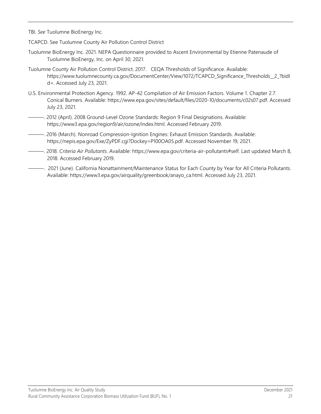- TBI. *See* Tuolumne BioEnergy Inc.
- TCAPCD. See Tuolumne County Air Pollution Control District
- Tuolumne BioEnergy Inc. 2021. NEPA Questionnaire provided to Ascent Environmental by Etienne Patenaude of Tuolumne BioEnergy, Inc. on April 30, 2021.
- Tuolumne County Air Pollution Control District. 2017. CEQA Thresholds of Significance. Available: [https://www.tuolumnecounty.ca.gov/DocumentCenter/View/1072/TCAPCD\\_Significance\\_Thresholds\\_\\_2\\_?bidI](https://www.tuolumnecounty.ca.gov/DocumentCenter/View/1072/TCAPCD_Significance_Thresholds__2_?bidId=) [d=.](https://www.tuolumnecounty.ca.gov/DocumentCenter/View/1072/TCAPCD_Significance_Thresholds__2_?bidId=) Accessed July 23, 2021.
- U.S. Environmental Protection Agency. 1992. AP-42 Compilation of Air Emission Factors. Volume 1. Chapter 2.7. Conical Burners. Available: https://www.epa.gov/sites/default/files/2020-10/documents/c02s07.pdf. Accessed July 23, 2021.
- ———. 2012 (April). 2008 Ground-Level Ozone Standards: Region 9 Final Designations. Available: [https://www3.epa.gov/region9/air/ozone/index.html.](https://www3.epa.gov/region9/air/ozone/index.html) Accessed February 2019.
- ———. 2016 (March). Nonroad Compression-Ignition Engines: Exhaust Emission Standards. Available: [https://nepis.epa.gov/Exe/ZyPDF.cgi?Dockey=P100OA05.pdf.](https://nepis.epa.gov/Exe/ZyPDF.cgi?Dockey=P100OA05.pdf) Accessed November 19, 2021.
- ———. 2018. *Criteria Air Pollutants*. Available: https://www.epa.gov/criteria-air-pollutants#self. Last updated March 8, 2018. Accessed February 2019.
- ———. 2021 (June). California Nonattainment/Maintenance Status for Each County by Year for All Criteria Pollutants. Available: [https://www3.epa.gov/airquality/greenbook/anayo\\_ca.html.](https://www3.epa.gov/airquality/greenbook/anayo_ca.html) Accessed July 23, 2021.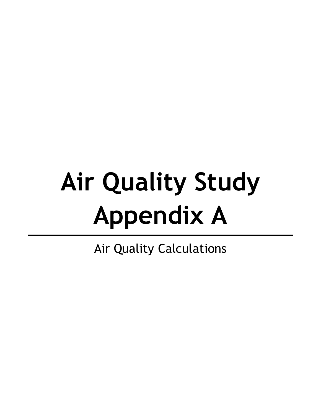# **Air Quality Study Appendix A**

Air Quality Calculations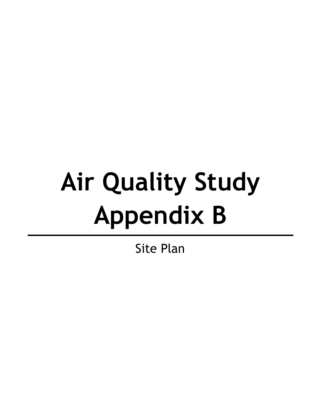# **Air Quality Study Appendix B**

Site Plan